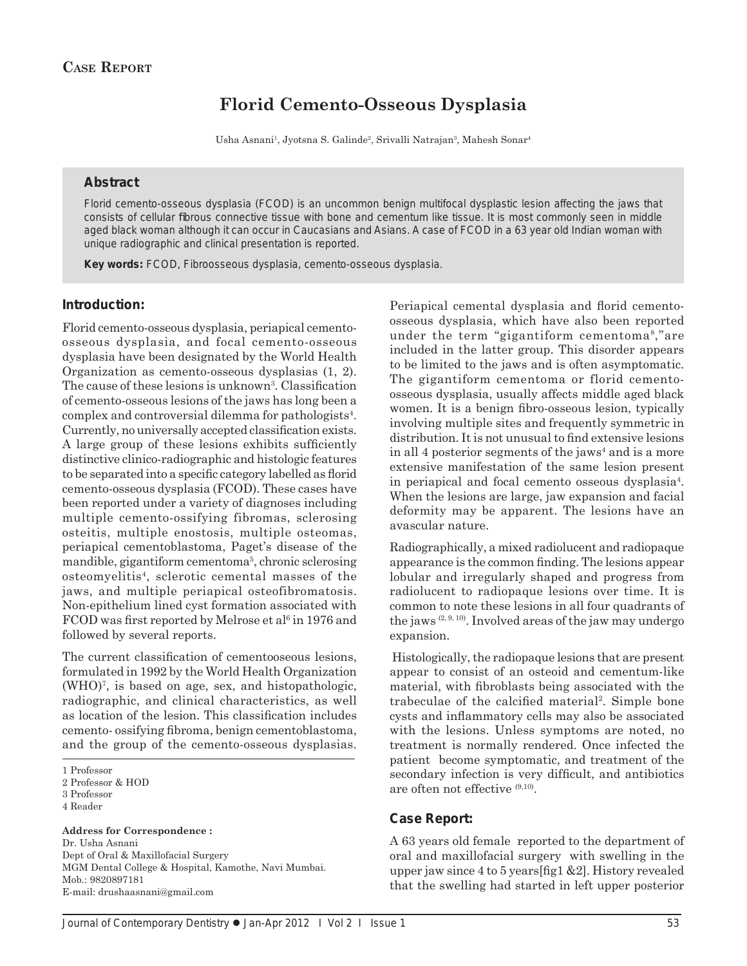# **Florid Cemento-Osseous Dysplasia**

Usha Asnani<sup>1</sup>, Jyotsna S. Galinde<sup>2</sup>, Srivalli Natrajan<sup>3</sup>, Mahesh Sonar<sup>4</sup>

## **Abstract**

Florid cemento-osseous dysplasia (FCOD) is an uncommon benign multifocal dysplastic lesion affecting the jaws that consists of cellular fibrous connective tissue with bone and cementum like tissue. It is most commonly seen in middle aged black woman although it can occur in Caucasians and Asians. A case of FCOD in a 63 year old Indian woman with unique radiographic and clinical presentation is reported.

*Key words:* FCOD, Fibroosseous dysplasia, cemento-osseous dysplasia.

#### **Introduction:**

Florid cemento-osseous dysplasia, periapical cementoosseous dysplasia, and focal cemento-osseous dysplasia have been designated by the World Health Organization as cemento-osseous dysplasias (1, 2). The cause of these lesions is unknown<sup>3</sup>. Classification of cemento-osseous lesions of the jaws has long been a complex and controversial dilemma for pathologists4 . Currently, no universally accepted classification exists. A large group of these lesions exhibits sufficiently distinctive clinico-radiographic and histologic features to be separated into a specific category labelled as florid cemento-osseous dysplasia (FCOD). These cases have been reported under a variety of diagnoses including multiple cemento-ossifying fibromas, sclerosing osteitis, multiple enostosis, multiple osteomas, periapical cementoblastoma, Paget's disease of the mandible, gigantiform cementoma<sup>5</sup>, chronic sclerosing osteomyelitis4, sclerotic cemental masses of the jaws, and multiple periapical osteofibromatosis. Non-epithelium lined cyst formation associated with FCOD was first reported by Melrose et al<sup>6</sup> in 1976 and followed by several reports.

The current classification of cementooseous lesions, formulated in 1992 by the World Health Organization (WHO)7 , is based on age, sex, and histopathologic, radiographic, and clinical characteristics, as well as location of the lesion. This classification includes cemento- ossifying fibroma, benign cementoblastoma, and the group of the cemento-osseous dysplasias.

**Address for Correspondence :** Dr. Usha Asnani Dept of Oral & Maxillofacial Surgery MGM Dental College & Hospital, Kamothe, Navi Mumbai. Mob.: 9820897181 E-mail: drushaasnani@gmail.com

Periapical cemental dysplasia and florid cementoosseous dysplasia, which have also been reported under the term "gigantiform cementoma8,"are included in the latter group. This disorder appears to be limited to the jaws and is often asymptomatic. The gigantiform cementoma or florid cementoosseous dysplasia, usually affects middle aged black women. It is a benign fibro-osseous lesion, typically involving multiple sites and frequently symmetric in distribution. It is not unusual to find extensive lesions in all 4 posterior segments of the jaws<sup>4</sup> and is a more extensive manifestation of the same lesion present in periapical and focal cemento osseous dysplasia4 . When the lesions are large, jaw expansion and facial deformity may be apparent. The lesions have an avascular nature.

Radiographically, a mixed radiolucent and radiopaque appearance is the common finding. The lesions appear lobular and irregularly shaped and progress from radiolucent to radiopaque lesions over time. It is common to note these lesions in all four quadrants of the jaws (2, 9, 10). Involved areas of the jaw may undergo expansion.

 Histologically, the radiopaque lesions that are present appear to consist of an osteoid and cementum-like material, with fibroblasts being associated with the trabeculae of the calcified material<sup>2</sup>. Simple bone cysts and inflammatory cells may also be associated with the lesions. Unless symptoms are noted, no treatment is normally rendered. Once infected the patient become symptomatic, and treatment of the secondary infection is very difficult, and antibiotics are often not effective (9,10).

## **Case Report:**

A 63 years old female reported to the department of oral and maxillofacial surgery with swelling in the upper jaw since 4 to 5 years [fig1  $&2$ ]. History revealed that the swelling had started in left upper posterior

<sup>1</sup> Professor

<sup>2</sup> Professor & HOD

<sup>3</sup> Professor

<sup>4</sup> Reader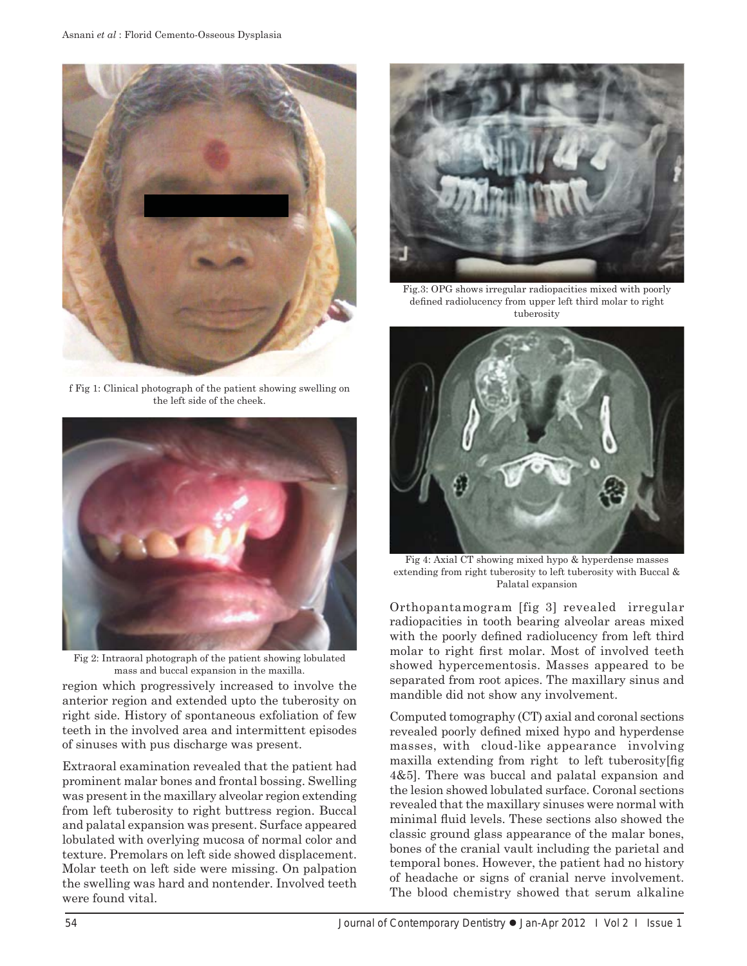

f Fig 1: Clinical photograph of the patient showing swelling on the left side of the cheek.



Fig 2: Intraoral photograph of the patient showing lobulated mass and buccal expansion in the maxilla.

region which progressively increased to involve the anterior region and extended upto the tuberosity on right side. History of spontaneous exfoliation of few teeth in the involved area and intermittent episodes of sinuses with pus discharge was present.

Extraoral examination revealed that the patient had prominent malar bones and frontal bossing. Swelling was present in the maxillary alveolar region extending from left tuberosity to right buttress region. Buccal and palatal expansion was present. Surface appeared lobulated with overlying mucosa of normal color and texture. Premolars on left side showed displacement. Molar teeth on left side were missing. On palpation the swelling was hard and nontender. Involved teeth were found vital.



Fig.3: OPG shows irregular radiopacities mixed with poorly defined radiolucency from upper left third molar to right tuberosity



Fig 4: Axial CT showing mixed hypo & hyperdense masses extending from right tuberosity to left tuberosity with Buccal & Palatal expansion

Orthopantamogram [fig 3] revealed irregular radiopacities in tooth bearing alveolar areas mixed with the poorly defined radiolucency from left third molar to right first molar. Most of involved teeth showed hypercementosis. Masses appeared to be separated from root apices. The maxillary sinus and mandible did not show any involvement.

Computed tomography (CT) axial and coronal sections revealed poorly defined mixed hypo and hyperdense masses, with cloud-like appearance involving maxilla extending from right to left tuberosity  $\int$  fig. 4&5]. There was buccal and palatal expansion and the lesion showed lobulated surface. Coronal sections revealed that the maxillary sinuses were normal with minimal fluid levels. These sections also showed the classic ground glass appearance of the malar bones, bones of the cranial vault including the parietal and temporal bones. However, the patient had no history of headache or signs of cranial nerve involvement. The blood chemistry showed that serum alkaline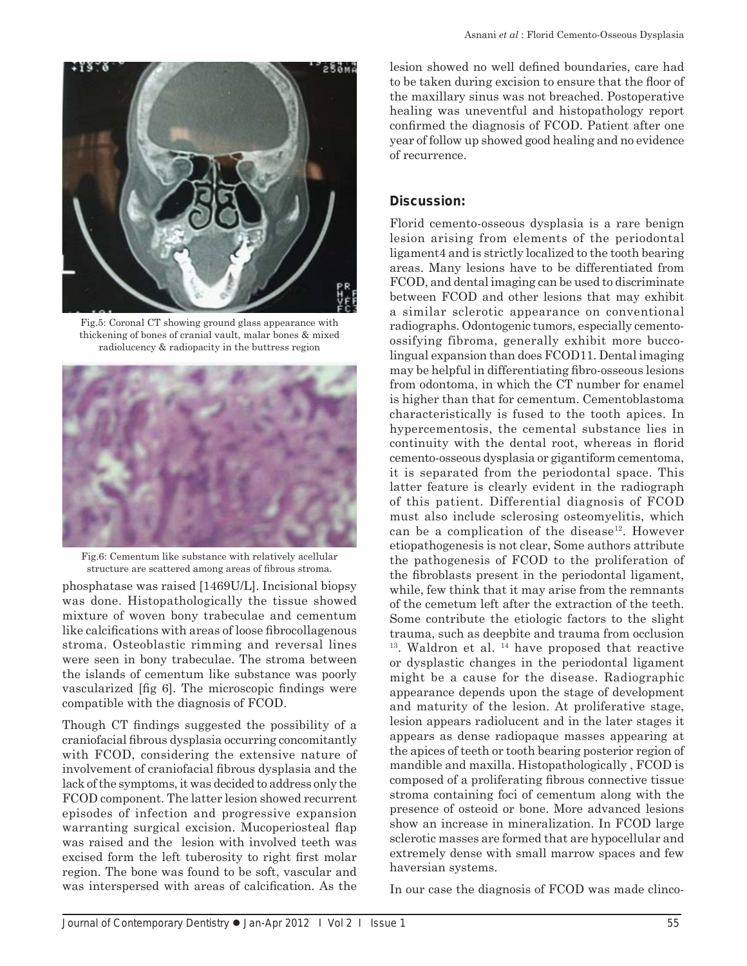



Fig.5: Coronal CT showing ground glass appearance with thickening of bones of cranial vault, malar bones & mixed radiolucency & radiopacity in the buttress region



Fig.6: Cementum like substance with relatively acellular structure are scattered among areas of fibrous stroma.

phosphatase was raised [1469U/L]. Incisional biopsy was done. Histopathologically the tissue showed mixture of woven bony trabeculae and cementum like calcifications with areas of loose fibrocollagenous stroma. Osteoblastic rimming and reversal lines were seen in bony trabeculae. The stroma between the islands of cementum like substance was poorly vascularized [fig 6]. The microscopic findings were compatible with the diagnosis of FCOD.

Though CT findings suggested the possibility of a craniofacial fibrous dysplasia occurring concomitantly with FCOD, considering the extensive nature of involvement of craniofacial fibrous dysplasia and the lack of the symptoms, it was decided to address only the FCOD component. The latter lesion showed recurrent episodes of infection and progressive expansion warranting surgical excision. Mucoperiosteal flap was raised and the lesion with involved teeth was excised form the left tuberosity to right first molar region. The bone was found to be soft, vascular and was interspersed with areas of calcification. As the

lesion showed no well defined boundaries, care had to be taken during excision to ensure that the floor of the maxillary sinus was not breached. Postoperative healing was uneventful and histopathology report confirmed the diagnosis of FCOD. Patient after one year of follow up showed good healing and no evidence of recurrence.

## **Discussion:**

Florid cemento-osseous dysplasia is a rare benign lesion arising from elements of the periodontal ligament4 and is strictly localized to the tooth bearing areas. Many lesions have to be differentiated from FCOD, and dental imaging can be used to discriminate between FCOD and other lesions that may exhibit a similar sclerotic appearance on conventional radiographs. Odontogenic tumors, especially cementoossifying fibroma, generally exhibit more buccolingual expansion than does FCOD11. Dental imaging may be helpful in differentiating fibro-osseous lesions from odontoma, in which the CT number for enamel is higher than that for cementum. Cementoblastoma characteristically is fused to the tooth apices. In hypercementosis, the cemental substance lies in continuity with the dental root, whereas in florid cemento-osseous dysplasia or gigantiform cementoma, it is separated from the periodontal space. This latter feature is clearly evident in the radiograph of this patient. Differential diagnosis of FCOD must also include sclerosing osteomyelitis, which can be a complication of the disease<sup>12</sup>. However etiopathogenesis is not clear, Some authors attribute the pathogenesis of FCOD to the proliferation of the fibroblasts present in the periodontal ligament, while, few think that it may arise from the remnants of the cemetum left after the extraction of the teeth. Some contribute the etiologic factors to the slight trauma, such as deepbite and trauma from occlusion  $13.$  Waldron et al.  $14$  have proposed that reactive or dysplastic changes in the periodontal ligament might be a cause for the disease. Radiographic appearance depends upon the stage of development and maturity of the lesion. At proliferative stage, lesion appears radiolucent and in the later stages it appears as dense radiopaque masses appearing at the apices of teeth or tooth bearing posterior region of mandible and maxilla. Histopathologically , FCOD is composed of a proliferating fibrous connective tissue stroma containing foci of cementum along with the presence of osteoid or bone. More advanced lesions show an increase in mineralization. In FCOD large sclerotic masses are formed that are hypocellular and extremely dense with small marrow spaces and few haversian systems.

In our case the diagnosis of FCOD was made clinco-